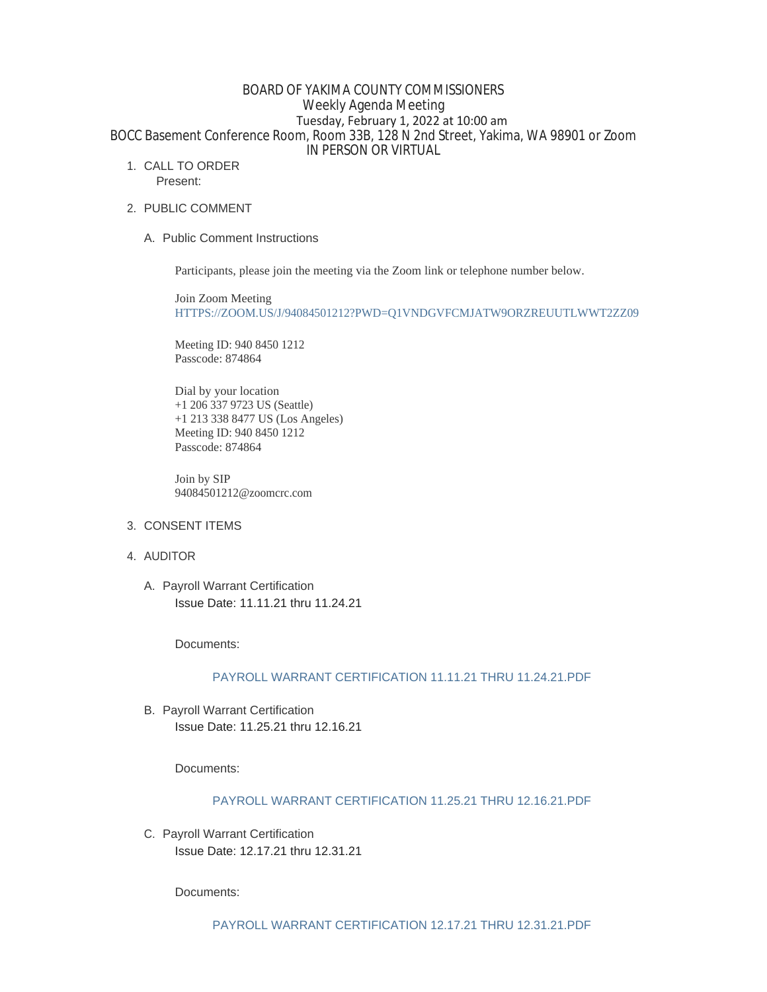## BOARD OF YAKIMA COUNTY COMMISSIONERS Weekly Agenda Meeting Tuesday, February 1, 2022 at 10:00 am BOCC Basement Conference Room, Room 33B, 128 N 2nd Street, Yakima, WA 98901 or Zoom IN PERSON OR VIRTUAL

1. CALL TO ORDER

Present:

- 2. PUBLIC COMMENT
	- A. Public Comment Instructions

Participants, please join the meeting via the Zoom link or telephone number below.

Join Zoom Meeting [HTTPS://ZOOM.US/J/94084501212?PWD=Q1VNDGVFCMJATW9ORZREUUTLWWT2ZZ09](https://zoom.us/j/94084501212?pwd=Q1VNdGVFcmJaTW9ORzREUUtlWWt2Zz09)

Meeting ID: 940 8450 1212 Passcode: 874864

Dial by your location +1 206 337 9723 US (Seattle) +1 213 338 8477 US (Los Angeles) Meeting ID: 940 8450 1212 Passcode: 874864

Join by SIP 94084501212@zoomcrc.com

- 3. CONSENT ITEMS
- 4. AUDITOR
	- A. Payroll Warrant Certification Issue Date: 11.11.21 thru 11.24.21

Documents:

# [PAYROLL WARRANT CERTIFICATION 11.11.21 THRU 11.24.21.PDF](https://www.yakimacounty.us/AgendaCenter/ViewFile/Item/3762?fileID=15594)

B. Payroll Warrant Certification Issue Date: 11.25.21 thru 12.16.21

Documents:

## [PAYROLL WARRANT CERTIFICATION 11.25.21 THRU 12.16.21.PDF](https://www.yakimacounty.us/AgendaCenter/ViewFile/Item/3763?fileID=15595)

C. Payroll Warrant Certification Issue Date: 12.17.21 thru 12.31.21

Documents: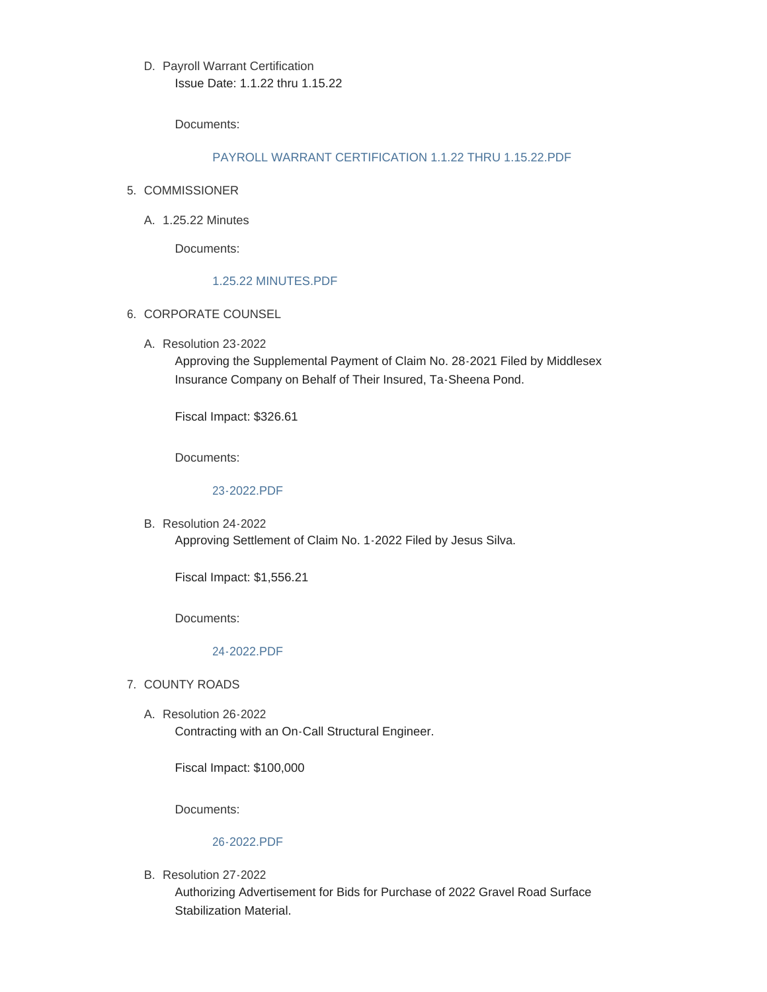D. Payroll Warrant Certification Issue Date: 1.1.22 thru 1.15.22

Documents:

### [PAYROLL WARRANT CERTIFICATION 1.1.22 THRU 1.15.22.PDF](https://www.yakimacounty.us/AgendaCenter/ViewFile/Item/3765?fileID=15597)

- 5. COMMISSIONER
	- A. 1.25.22 Minutes

Documents:

### [1.25.22 MINUTES.PDF](https://www.yakimacounty.us/AgendaCenter/ViewFile/Item/3761?fileID=15593)

- 6. CORPORATE COUNSEL
	- A. Resolution 23-2022

Approving the Supplemental Payment of Claim No. 28-2021 Filed by Middlesex Insurance Company on Behalf of Their Insured, Ta-Sheena Pond.

Fiscal Impact: \$326.61

Documents:

### [23-2022.PDF](https://www.yakimacounty.us/AgendaCenter/ViewFile/Item/3766?fileID=15598)

B. Resolution 24-2022 Approving Settlement of Claim No. 1-2022 Filed by Jesus Silva.

Fiscal Impact: \$1,556.21

Documents:

## [24-2022.PDF](https://www.yakimacounty.us/AgendaCenter/ViewFile/Item/3767?fileID=15599)

- 7. COUNTY ROADS
	- Resolution 26-2022 A. Contracting with an On-Call Structural Engineer.

Fiscal Impact: \$100,000

Documents:

## [26-2022.PDF](https://www.yakimacounty.us/AgendaCenter/ViewFile/Item/3770?fileID=15602)

B. Resolution 27-2022

Authorizing Advertisement for Bids for Purchase of 2022 Gravel Road Surface Stabilization Material.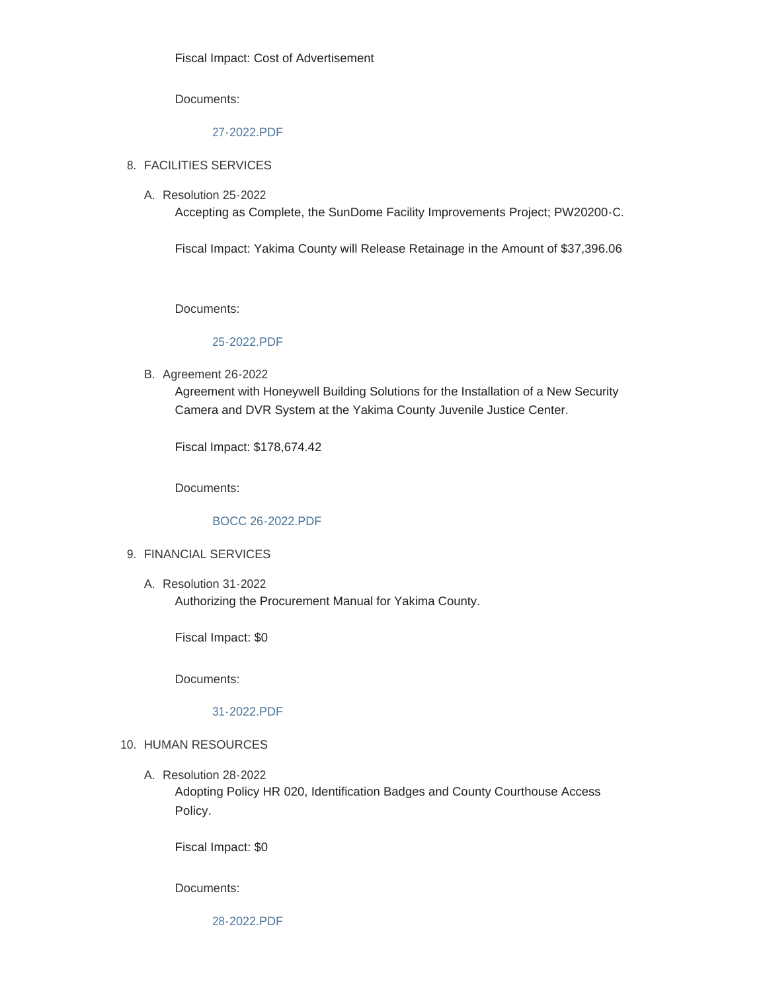Documents:

### [27-2022.PDF](https://www.yakimacounty.us/AgendaCenter/ViewFile/Item/3771?fileID=15603)

### FACILITIES SERVICES 8.

Resolution 25-2022 A.

Accepting as Complete, the SunDome Facility Improvements Project; PW20200-C.

Fiscal Impact: Yakima County will Release Retainage in the Amount of \$37,396.06

Documents:

#### [25-2022.PDF](https://www.yakimacounty.us/AgendaCenter/ViewFile/Item/3768?fileID=15600)

**B.** Agreement 26-2022

Agreement with Honeywell Building Solutions for the Installation of a New Security Camera and DVR System at the Yakima County Juvenile Justice Center.

Fiscal Impact: \$178,674.42

Documents:

## [BOCC 26-2022.PDF](https://www.yakimacounty.us/AgendaCenter/ViewFile/Item/3769?fileID=15601)

### FINANCIAL SERVICES 9.

Resolution 31-2022 A. Authorizing the Procurement Manual for Yakima County.

Fiscal Impact: \$0

Documents:

#### [31-2022.PDF](https://www.yakimacounty.us/AgendaCenter/ViewFile/Item/3791?fileID=15609)

#### 10. HUMAN RESOURCES

Resolution 28-2022 A.

Adopting Policy HR 020, Identification Badges and County Courthouse Access Policy.

Fiscal Impact: \$0

Documents: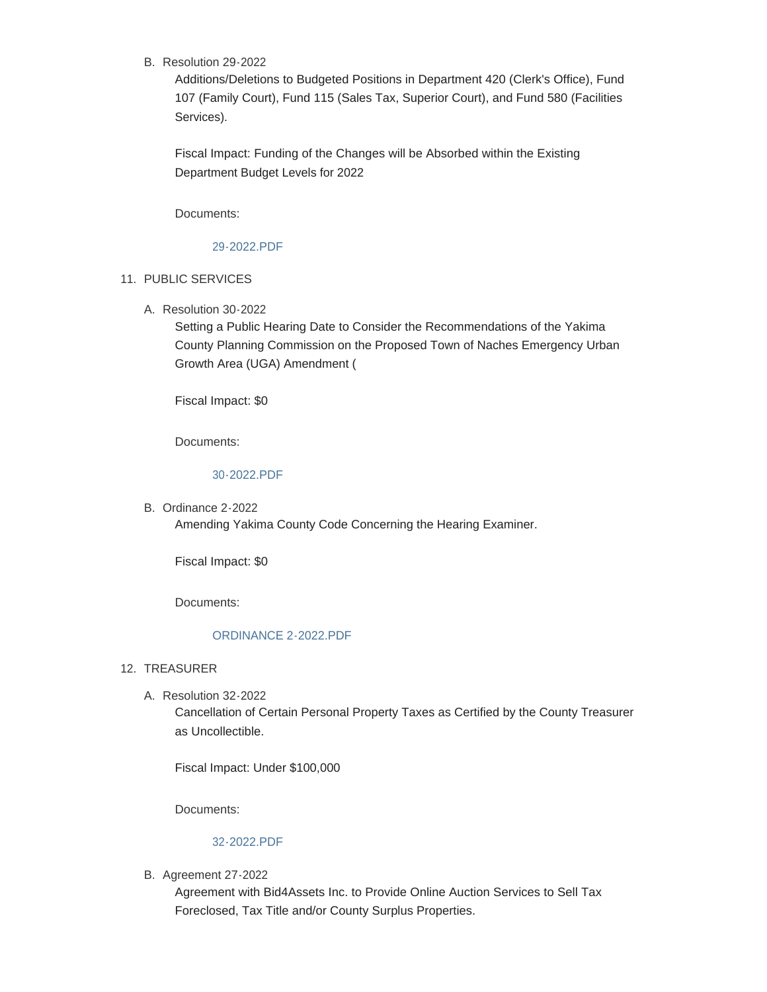B. Resolution 29-2022

Additions/Deletions to Budgeted Positions in Department 420 (Clerk's Office), Fund 107 (Family Court), Fund 115 (Sales Tax, Superior Court), and Fund 580 (Facilities Services).

Fiscal Impact: Funding of the Changes will be Absorbed within the Existing Department Budget Levels for 2022

Documents:

## [29-2022.PDF](https://www.yakimacounty.us/AgendaCenter/ViewFile/Item/3773?fileID=15605)

## 11. PUBLIC SERVICES

Resolution 30-2022 A.

Setting a Public Hearing Date to Consider the Recommendations of the Yakima County Planning Commission on the Proposed Town of Naches Emergency Urban Growth Area (UGA) Amendment (

Fiscal Impact: \$0

Documents:

## [30-2022.PDF](https://www.yakimacounty.us/AgendaCenter/ViewFile/Item/3790?fileID=15608)

B. Ordinance 2-2022 Amending Yakima County Code Concerning the Hearing Examiner.

Fiscal Impact: \$0

Documents:

### [ORDINANCE 2-2022.PDF](https://www.yakimacounty.us/AgendaCenter/ViewFile/Item/3774?fileID=15606)

- 12. TREASURER
	- A. Resolution 32-2022

Cancellation of Certain Personal Property Taxes as Certified by the County Treasurer as Uncollectible.

Fiscal Impact: Under \$100,000

Documents:

# [32-2022.PDF](https://www.yakimacounty.us/AgendaCenter/ViewFile/Item/3793?fileID=15612)

**B.** Agreement 27-2022

Agreement with Bid4Assets Inc. to Provide Online Auction Services to Sell Tax Foreclosed, Tax Title and/or County Surplus Properties.